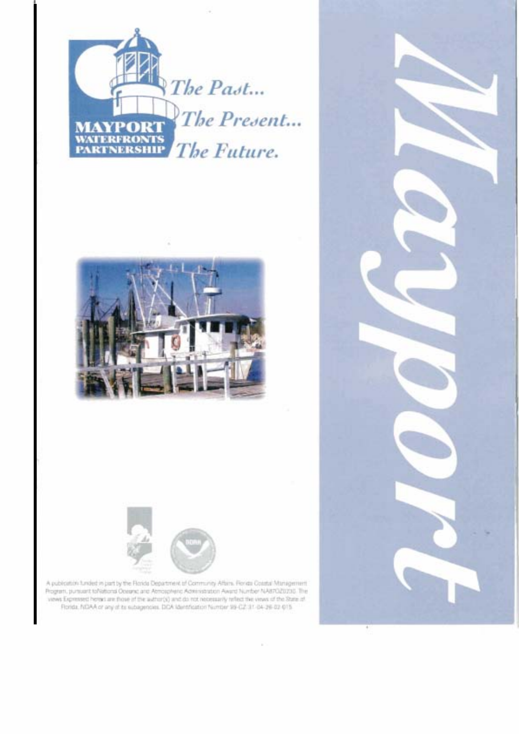





A publication tunded in part by the Florida Department of Community Affairs. Florida Coustal Monagement Rogram, pursuant toNational Oceanic and Atmospheric Administration Award Number NAB7O20200. The views Expressed herest are those of the author(s) and do not necessarily reflect the views of the State of Rorida, NDAA or any of to subagenoies. DDA Identification Number 99-02: 31-04-26-02-015.

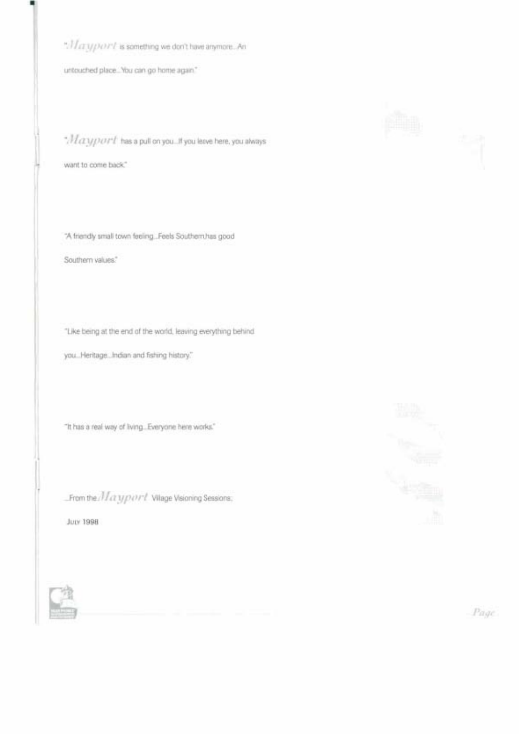". If crtyponn't is something we don't have anymore. An

untouched place... You can go home again."

 $\cdot$ / $I\alpha$ y $port$  has a pull on you... If you leave here, you always

want to come back."

"A friendly small town feeling... Feels Southern has good

Southern values."

"Like being at the end of the world, leaving everything behind

you... Heritage... Indian and fishing history."

"It has a real way of living... Everyone here works."

From the Maxyport Vilage Visioning Sessions.

**JULY 1998** 







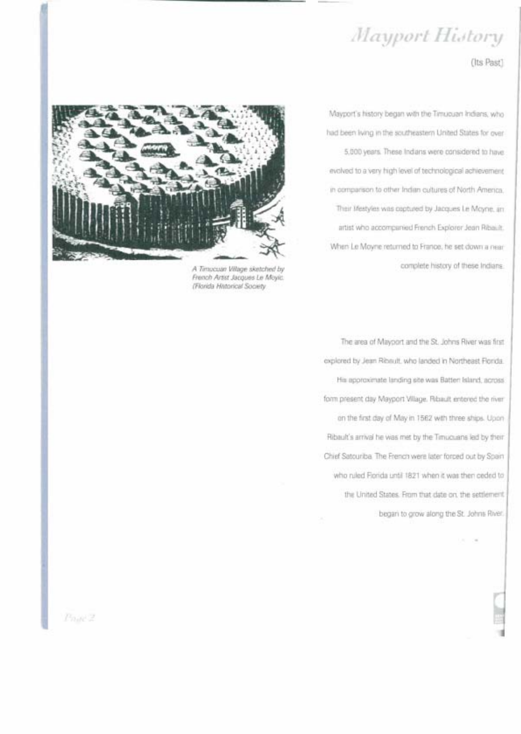# Mayport History

(Its Past)



A Timucuan Village sketched by French Artist Jacques Le Moyic. (Florida Historical Society)

Mayport's history began with the Timuouan Indians, who had been iving in the southeastern United States for over 5,000 years. These Indians were considered to have evolved to a very high level of technological achievement in comparison to other Indian cultures of North America. Their Mestyles was coptured by Jacques Le Moyne, an artist who accompanied French Explorer Jean Ribault. When Le Moyne returned to France, he set down a near complete history of these Indians.

The area of Mayport and the St. Johns River was first explored by Jean Ribault, who landed in Northeast Florida. His approximate landing site was Batten Island, across. form present day Mayport Village. Ribault entered the river on the first day of May in 1562 with three ships. Upon-Ribault's arrival he was met by the Timucuans led by their Chief Satouriba The French were later forped out by Spain who ruled Fiorida until 1821 when it was then ceded to the United States. From that date on, the settlement began to grow along the St. Johns River.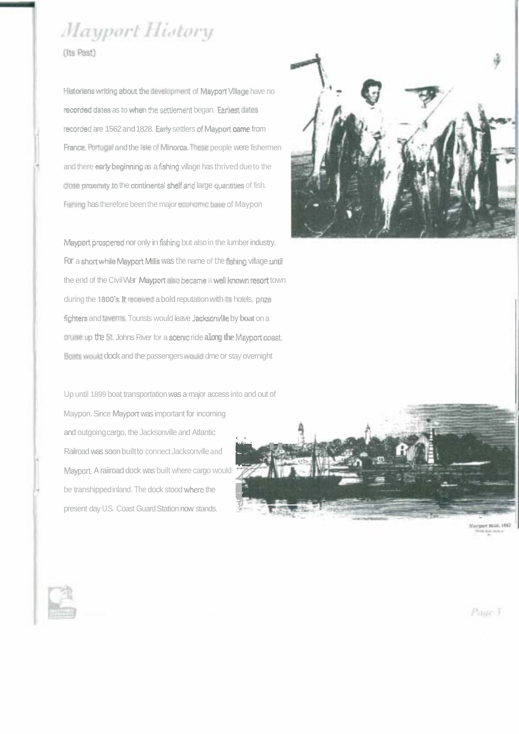# Mayport History

(Its Past)

Historians writing about the development of Mayport Village have no recorded dates as to when the settlement began. Earliest datas recorded are 1562 and 1828. Early settlers of Mayport came from France, Portugal and the late of Minorca. These people were fishermen and there early beginning as a fishing village has thrived due to the didee proximity to the continental shelf and large quantities of fish. Fishing has therefore been the major economic base of Maypon

Mayport prespered nor only in fishing but also in the lumber industry. For a short while Mayport Mills was the name of the fishing village until the end of the Civil War Maypert also became a well known resort town during the 1800's. It received a bold reputation with the hotels, prize fighters and taverns. Tourists would leave Jacksonville by boat on a cruise up the St. Johns River for a scenic ride along the Mayport coast. Boats would dock and the passengers would dme or stay overnight

Up until 1899 boat transportation was a major access into and out of Maypon. Since Mayport was important for incoming and outgoing cargo, the Jacksonville and Atlantic Railroad was soon built to connect Jacksonville and Mayport. A raiiroad dock was built where cargo would be transhipped inland. The dock stood where the present day U.S. Coast Guard Station now stands.





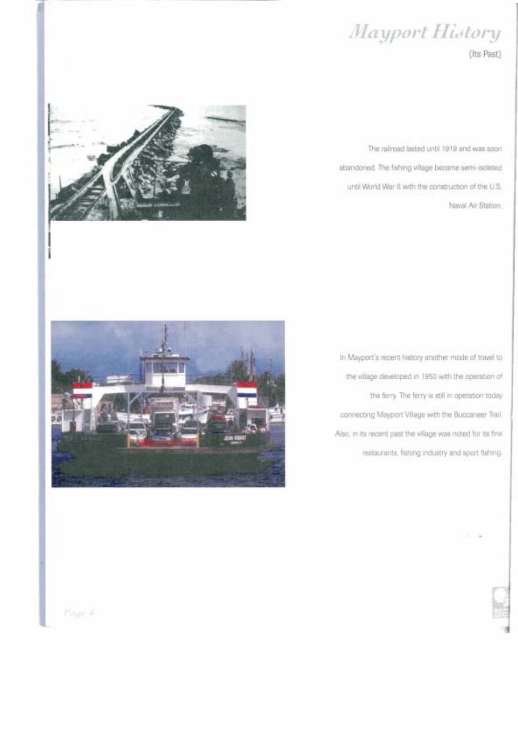# Mayport History

(Its Past)



The railroad lasted until 1919 and was soon abandoned. The fishing village became semi-isolated until World War II with the construction of the U.S. Naval Air Station.



In Mayport's recent history another mode of travel to the village developed in 1950 with the operation of the ferry. The ferry is still in operation today connecting Mayport Village with the Buccaneer Trail. Also, in its recent past the village was noted for its fine restaurants, fishing industry and sport fishing.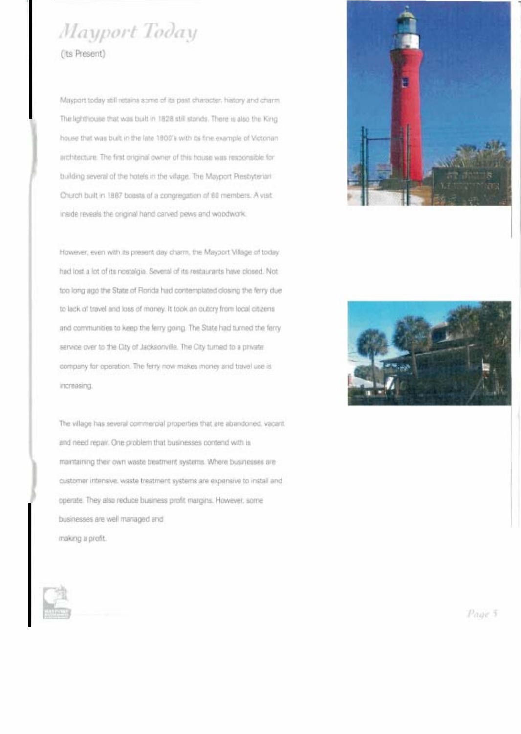# Mayport Today

(Its Present)

Mayport today still retains some of its past character, history and charm. The lighthouse that was built in 1828 still stands. There is also the King house that was built in the late 1800's with its fine example of Victorian architecture. The first original owner of this house was responsible for building several of the hotels in the village. The Mayport Presbyterian Church built in 1887 boasts of a congregation of 60 members. A visit. inside reveals the original hand carved pews and woodwork.

However, even with its present day charm, the Mayport Village of today. had lost a lot of its nostalgia. Several of its restaurants have closed. Not too long ago the State of Rorida had contemplated closing the ferry due to lack of travel and loss of money. It took an outcry from local citizens and communities to keep the ferry going. The State had turned the ferry service over to the City of Jacksonville. The City turned to a private company for operation. The ferry now makes money and travel use is increasing.

The village has several commercial properties that are abandoned, vacant and need repair. One problem that businesses contend with is maintaining their own waste treatment systems. Where businesses are customer intensive, waste treatment systems are expensive to install and operate. They also reduce business profit margins. However, some businesses are well managed and making a profit.





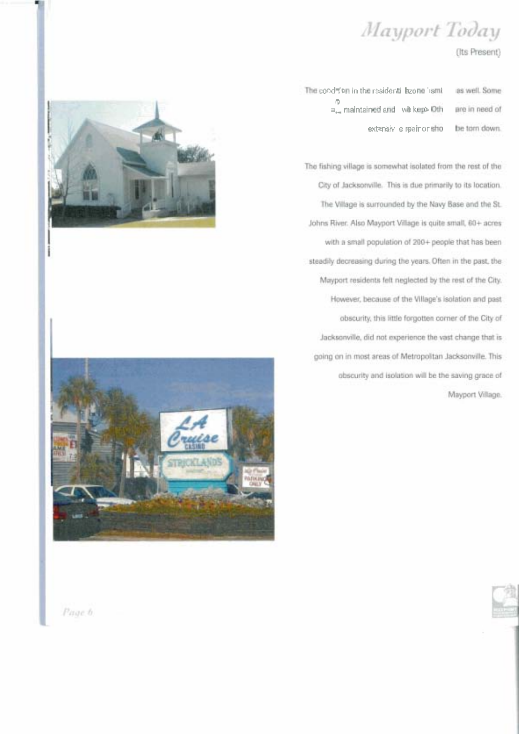## Mayport Today

### (Its Present)

The cood i'on in the residentil azone fismias well. Some  $\mathfrak{g}$ <br> $\mathfrak{g}_{\bullet\bullet}$  maintained and with kept Oth are in need of ext≤nsiv e reair or sho be torn down.

The fishing village is somewhat isolated from the rest of the City of Jacksonville. This is due primarily to its location. The Village is surrounded by the Navy Base and the St. Johns River. Also Mayport Village is quite small, 60+ acres with a small population of 200+ people that has been steadily decreasing during the years. Often in the past, the Mayport residents felt neglected by the rest of the City. However, because of the Village's isolation and past obscurity, this little forgotten corner of the City of Jacksonville, did not experience the vast change that is going on in most areas of Metropolitan Jacksonville. This obscurity and isolation will be the saving grace of Mayport Village.





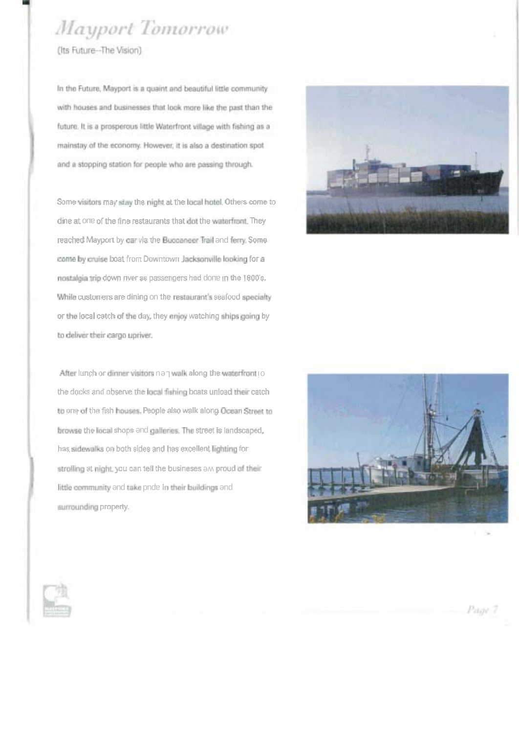### Mayport Tomorrow

(Its Future-The Vision)

In the Future, Mayport is a quaint and beautiful little community with houses and businesses that look more like the past than the future. It is a prosperous little Waterfront village with fishing as a mainstay of the economy. However, it is also a destination spot and a stopping station for people who are passing through.

Some visitors may stay the night at the local hotel, Others come to dine at one of the fine restaurants that dot the waterfront. They reached Mayport by car via the Buccaneer Trail and ferry. Some come by cruise boat from Downtown Jacksonville looking for a nostalgia trip down nver as passengers had done in the 1800's. While customers are dining on the restaurant's seafood specialty or the local catch of the day, they enjoy watching ships going by to deliver their cargo upriver.

After lunch or dinner visitors non walk along the waterfront to the docks and observe the local fishing boats unload their catch to one of the fish houses. People also walk along Occan Street to browse the local shops end galleries. The street is landscaped, has sidewalks on both sides and has excellent lighting for strolling at night; you can tell the busineses ow proud of their little community and take pnde in their buildings and surrounding property.





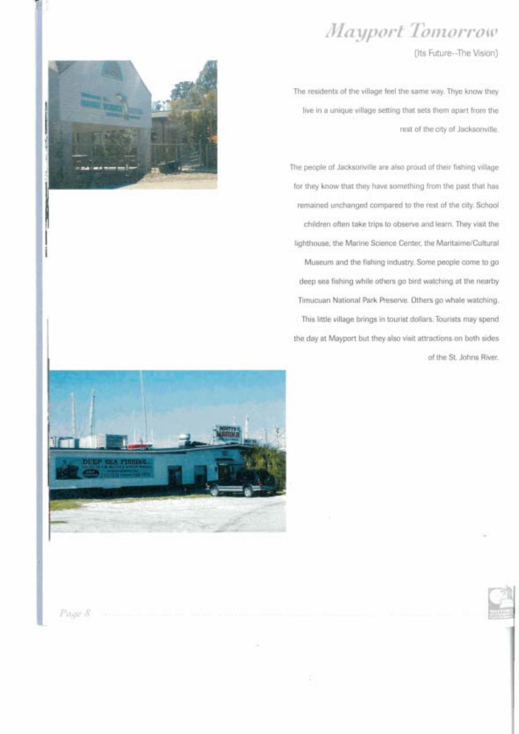

(Its Future--The Vision)

The residents of the village feel the same way. Thye know they live in a unique village setting that sets them apart from the rest of the city of Jacksonville.

The people of Jacksonville are also proud of their fishing village for they know that they have something from the past that has remained unchanged compared to the rest of the city. School children often take trips to observe and learn. They visit the lighthouse, the Marine Science Center, the Maritaime/Cultural Museum and the fishing industry. Some people come to go deep sea fishing while others go bird watching at the nearby Timucuan National Park Preserve. Others go whale watching. This little village brings in tourist dollars. Tourists may spend the day at Mayport but they also visit attractions on both sides of the St. Johns River.





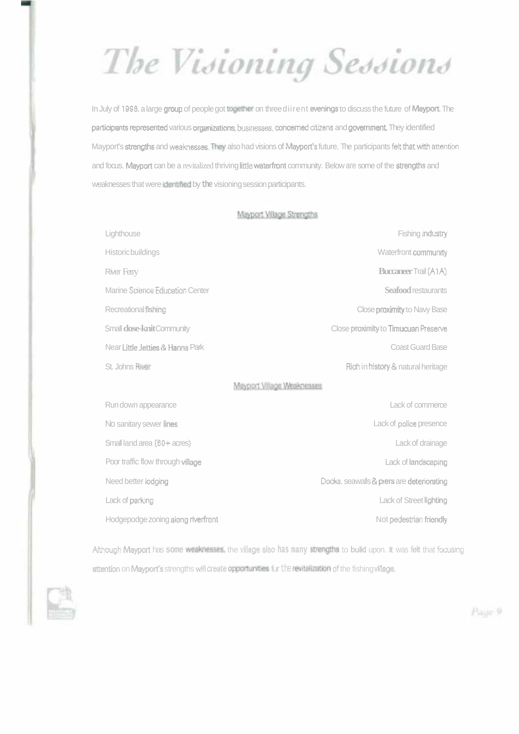The Visioning Sessions

In July of 1998, a large group of people got together on three diirent evenings to discuss the future of Mayport. The panicipants represented various organirations, businesses, Concerned **citizens** and government They identified Mayport's svengths and **weaknesses** They also had visions of Mayports future. The participants **feit** matwith **mention**  and focus. Mayport can be a revitalized thriving little waterfront community. Below are some of the strengths and weaknesses that were idemifled by **the** visioning session participants.

### Mayport Village Strengths

| Lighthouse                         | Fishing industry                          |  |
|------------------------------------|-------------------------------------------|--|
| <b>Historic buildings</b>          | Waterfront community                      |  |
| River Ferry                        | <b>Buccaneer Trail (A1A)</b>              |  |
| Marine Science Education Center    | Seafood restaurants                       |  |
| Recreational fishing               | Close proximity to Navy Base              |  |
| Small <b>dose-knit</b> Community   | Close proximity to Timucuan Preserve      |  |
| Near Little, letties & Hanna Park  | <b>Coast Guard Base</b>                   |  |
| St. Johns Fliver                   | Rich in history & natural heritage        |  |
| Meyport Village Weeknesses         |                                           |  |
| Run down appearance                | Lack of commerce                          |  |
| No sanitary sewer lines            | Lack of police presence                   |  |
| Small land area (60+ acres)        | Lack of drainage                          |  |
| Poor traffic flow through village  | Lack of landscaping                       |  |
| Need better <i>lodging</i>         | Docks, seawalls & piers are deteriorating |  |
| Lack of parking                    | Lack of Street lighting                   |  |
| Hodgepodge zoning along riverfront | Not pedestrian friendly                   |  |

Athough Mayport has some weakmesses, the village also has many strengths to build upon. It was felt that focusing attention on Mayport's strengths will create opportunities fur the revitalization of the fishing village.

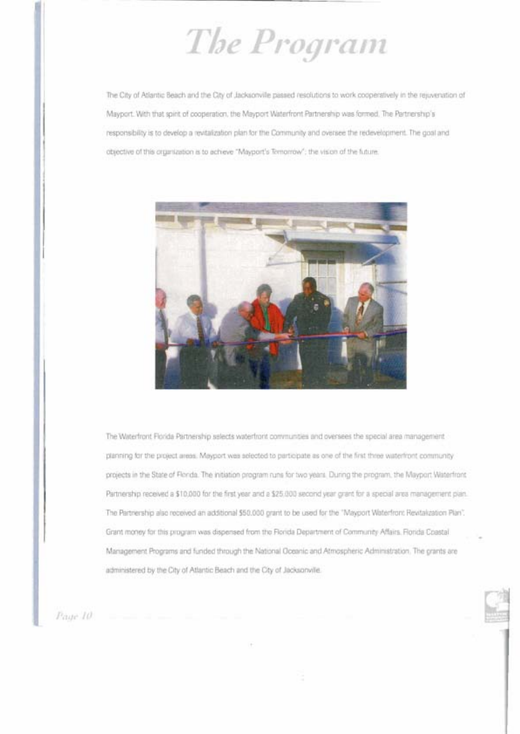The Program

The City of Atlantic Beach and the City of Jacksonville passed resolutions to work cooperatively in the rejuvenation of Mayport. With that spirit of cooperation, the Mayport Witterfront Partnership was formed. The Partnership's responsibility is to develop a revitalization plan for the Community and oversee the redevelopment. The goal and objective of this organization is to achieve "Mayport's Temorrow"; the vision of the future.



The Wilterfront Florida Partnership selects waterfront communities and oversees the special area management planning for the project areas. Mayport was selected to participate as one of the first three waterfront community projects in the State of Florda. The initiation program runs for two years. During the program, the Mayport Waterfront Partnership received a \$10,000 for the first year and a \$25,000 second year grant for a special area management plan. The Partnership also received an additional \$50,000 grant to be used for the "Mayport Waterfront Revitalization Plan". Grant money for this program was dispensed from the Florida Department of Community Affairs. Florida Coastal Management Programs and funded through the National Oceanic and Atmospheric Administration. The grants are administered by the City of Atlantic Beach and the City of Jacksonville.

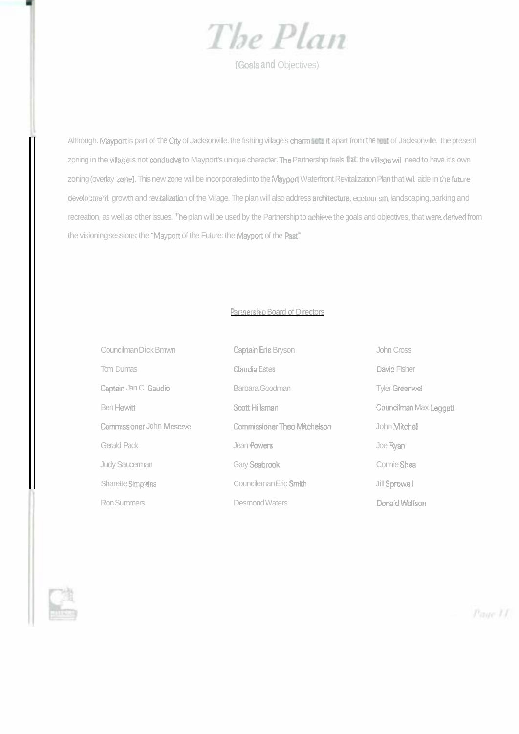

**(Goals and Objectives)** 

Although. Mayport is part of the *Cii* of Jacksonville. the fishing village's charm **sets** apart from the **rat** of Jacksonville. The present zoning in the village is not conducive to Mayport's unique character. The Partnership feels that the village will need to have it's own zoning (overlay zone). This new zone will be incorporated into the Mayport Waterfront Revitalization Plan that will aide in the future development, growth and revitalization of the Village. The plan will also address architecture, ecotourism, landscaping, parking and recreation, as well as other issues. The plan will be used by the Partnership to achieve the goals and objectives, that were derived from the visioning sessions; the "Mayport of the Future: the Mayport of the Past"

### Partnership Board of Directors

| Councilman Dick Bmwn      | <b>Captain Eric Bryson</b>   | John Cross             |
|---------------------------|------------------------------|------------------------|
| <b>Tom Dumas</b>          | Claudia Estes                | David Fisher           |
| Captain Jan C Gaudio      | Barbara Goodman              | <b>Tyler Greenwell</b> |
| <b>Ben Hewitt</b>         | Scott Hillaman               | Councilman Max Leggett |
| Commissioner John Meserve | Commissioner Theo Mitchelson | John Mitchell          |
| Gerald Pack               | Jean Powers                  | Joe Ryan               |
| <b>Judy Saucerman</b>     | Gary Seabrook                | Connie Shea            |
| Sharette Simplans         | Councileman Eric Smith       | Jill Sprowell          |
| <b>Ron Summers</b>        | Desmond Waters               | Donald Wolfson         |

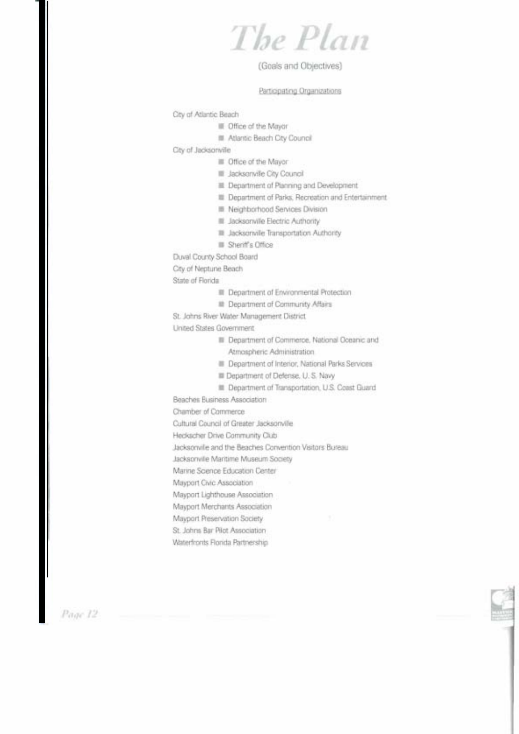The Plan

### (Goals and Objectives)

#### Participating Organizations

City of Atlantic Beach

- III Office of the Mayor
- **III** Atlantic Beach City Council

City of Jacksonville

- **B** Office of the Mayor
- **III** Jacksonville City Council
- **E Department of Planning and Development**
- **III** Department of Parks, Recreation and Entertainment
- **E** Neighborhood Services Division
- Lacksonville Electric Authority
- III Jacksonville Transportation Authority
- **B** Sheriff's Office
- Duval County School Board

City of Neptune Beach

State of Florida

- III Department of Environmental Protection
- **B** Department of Community Affairs

St. Johns River Water Management District

United States Government

- **B** Department of Commerce, National Oceanic and Atmospheric Administration
- **B** Department of Interior, National Parks Services
- **III Department of Defense, U.S. Navy**
- **E Department of Transportation, U.S. Coast Guard**

Beaches Business Association

Chamber of Commerce

Cultural Council of Greater Jacksonville

Heckscher Drive Community Club

Jacksonville and the Beaches Convention Visitors Bureau

Jacksonville Maritime Museum Society

Marine Science Education Center

Mayport Civic Association

Mayport Lighthouse Association

Mayport Merchants Association

Mayport Preservation Society

St. Johns Bar Pilot Association

Waterfronts Florida Partnership